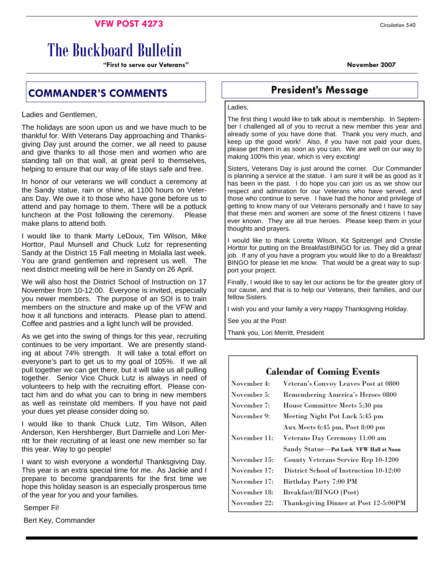## **VFW POST 4273** Circulation 540

# The Buckboard Bulletin

**"First to serve our Veterans" November 2007** 

# **COMMANDER'S COMMENTS President's Message**

Ladies and Gentlemen,

The holidays are soon upon us and we have much to be thankful for. With Veterans Day approaching and Thanksgiving Day just around the corner, we all need to pause and give thanks to all those men and women who are standing tall on that wall, at great peril to themselves, helping to ensure that our way of life stays safe and free.

In honor of our veterans we will conduct a ceremony at the Sandy statue, rain or shine, at 1100 hours on Veterans Day. We owe it to those who have gone before us to attend and pay homage to them. There will be a potluck luncheon at the Post following the ceremony. Please make plans to attend both.

I would like to thank Marty LeDoux, Tim Wilson, Mike Horttor, Paul Munsell and Chuck Lutz for representing Sandy at the District 15 Fall meeting in Molalla last week. You are grand gentlemen and represent us well. The next district meeting will be here in Sandy on 26 April.

We will also host the District School of Instruction on 17 November from 10-12:00. Everyone is invited, especially you newer members. The purpose of an SOI is to train members on the structure and make up of the VFW and how it all functions and interacts. Please plan to attend. Coffee and pastries and a light lunch will be provided.

As we get into the swing of things for this year, recruiting continues to be very important. We are presently standing at about 74% strength. It will take a total effort on everyone's part to get us to my goal of 105%. If we all pull together we can get there, but it will take us all pulling together. Senior Vice Chuck Lutz is always in need of volunteers to help with the recruiting effort. Please contact him and do what you can to bring in new members as well as reinstate old members. If you have not paid your dues yet please consider doing so.

I would like to thank Chuck Lutz, Tim Wilson, Allen Anderson, Ken Hershberger, Burt Darnielle and Lori Merritt for their recruiting of at least one new member so far this year. Way to go people!

I want to wish everyone a wonderful Thanksgiving Day. This year is an extra special time for me. As Jackie and I prepare to become grandparents for the first time we hope this holiday season is an especially prosperous time of the year for you and your families.

Semper Fi!

Bert Key, Commander

#### Ladies,

The first thing I would like to talk about is membership. In September I challenged all of you to recruit a new member this year and already some of you have done that. Thank you very much, and keep up the good work! Also, if you have not paid your dues, please get them in as soon as you can. We are well on our way to making 100% this year, which is very exciting!

Sisters, Veterans Day is just around the corner. Our Commander is planning a service at the statue. I am sure it will be as good as it has been in the past. I do hope you can join us as we show our respect and admiration for our Veterans who have served, and those who continue to serve. I have had the honor and privilege of getting to know many of our Veterans personally and I have to say that these men and women are some of the finest citizens I have ever known. They are all true heroes. Please keep them in your thoughts and prayers.

I would like to thank Loretta Wilson, Kit Spitzengel and Christie Horttor for putting on the Breakfast/BINGO for us. They did a great job. If any of you have a program you would like to do a Breakfast/ BINGO for please let me know. That would be a great way to support your project.

Finally, I would like to say let our actions be for the greater glory of our cause, and that is to help our Veterans, their families, and our fellow Sisters.

I wish you and your family a very Happy Thanksgiving Holiday.

See you at the Post!

Thank you, Lori Merritt, President

# **Calendar of Coming Events**  November 4: Veteran's Convoy Leaves Post at 0800 November 5: Remembering America's Heroes 0800 November 7: House Committee Meets 5:30 pm November 9: Meeting Night Pot Luck 5:45 pm Aux Meets 6:45 pm, Post 8:00 pm November 11: Veterans Day Ceremony 11:00 am Sandy Statue—**Pot Luck VFW Hall at Noon**  November 15: County Veterans Service Rep 10-1200 November 17: District School of Instruction 10-12:00 November 17: Birthday Party 7:00 PM November 18: Breakfast/BINGO (Post) November 22: Thanksgiving Dinner at Post 12-5:00PM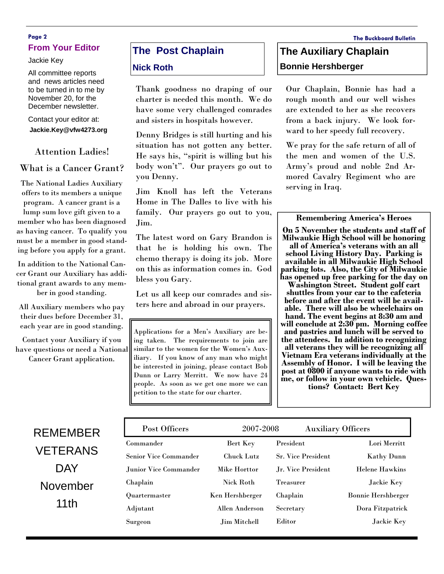### **Page 2 The Buckboard Bulletin From Your Editor**

Jackie Key

All committee reports and news articles need to be turned in to me by November 20, for the December newsletter.

#### Contact your editor at: **Jackie.Key@vfw4273.org**

#### Attention Ladies!

### What is a Cancer Grant?

The National Ladies Auxiliary offers to its members a unique program. A cancer grant is a lump sum love gift given to a member who has been diagnosed as having cancer. To qualify you must be a member in good standing before you apply for a grant.

In addition to the National Cancer Grant our Auxiliary has additional grant awards to any member in good standing.

All Auxiliary members who pay their dues before December 31, each year are in good standing.

Contact your Auxiliary if you have questions or need a National Cancer Grant application.

# **The Post Chaplain**

#### **Nick Roth**

Thank goodness no draping of our charter is needed this month. We do have some very challenged comrades and sisters in hospitals however.

Denny Bridges is still hurting and his situation has not gotten any better. He says his, "spirit is willing but his body won't". Our prayers go out to you Denny.

Jim Knoll has left the Veterans Home in The Dalles to live with his family. Our prayers go out to you, Jim.

The latest word on Gary Brandon is that he is holding his own. The chemo therapy is doing its job. More on this as information comes in. God bless you Gary.

Let us all keep our comrades and sisters here and abroad in our prayers.

Applications for a Men's Auxiliary are being taken. The requirements to join are similar to the women for the Women's Auxiliary. If you know of any man who might be interested in joining, please contact Bob Dunn or Larry Merritt. We now have 24 people. As soon as we get one more we can petition to the state for our charter.

# **The Auxiliary Chaplain Bonnie Hershberger**

Our Chaplain, Bonnie has had a rough month and our well wishes are extended to her as she recovers from a back injury. We look forward to her speedy full recovery.

We pray for the safe return of all of the men and women of the U.S. Army's proud and noble 2nd Armored Cavalry Regiment who are serving in Iraq.

#### **Remembering America's Heroes**

**On 5 November the students and staff of Milwaukie High School will be honoring all of America's veterans with an all school Living History Day. Parking is available in all Milwaukie High School parking lots. Also, the City of Milwaukie has opened up free parking for the day on** 

**Washington Street. Student golf cart shuttles from your car to the cafeteria before and after the event will be available. There will also be wheelchairs on hand. The event begins at 8:30 am and will conclude at 2:30 pm. Morning coffee and pastries and lunch will be served to the attendees. In addition to recognizing all veterans they will be recognizing all Vietnam Era veterans individually at the Assembly of Honor. I will be leaving the post at 0800 if anyone wants to ride with me, or follow in your own vehicle. Ques- tions? Contact: Bert Key** 

| RFMFMBFR        |  |  |  |
|-----------------|--|--|--|
| <b>VETERANS</b> |  |  |  |
| DAY             |  |  |  |
| November        |  |  |  |
| 11th            |  |  |  |

| Post Officers                | 2007-2008         | <b>Auxiliary Officers</b> |                           |
|------------------------------|-------------------|---------------------------|---------------------------|
| Commander                    | Bert Key          | President                 | Lori Merritt              |
| <b>Senior Vice Commander</b> | <b>Chuck Lutz</b> | <b>Sr. Vice President</b> | Kathy Dunn                |
| Junior Vice Commander        | Mike Horttor      | Jr. Vice President        | <b>Helene Hawkins</b>     |
| Chaplain                     | Nick Roth         | <b>Treasurer</b>          | Jackie Key                |
| Quartermaster                | Ken Hershberger   | Chaplain                  | <b>Bonnie Hershberger</b> |
| Adjutant                     | Allen Anderson    | Secretary                 | Dora Fitzpatrick          |
| Surgeon                      | Jim Mitchell      | Editor                    | Jackie Key                |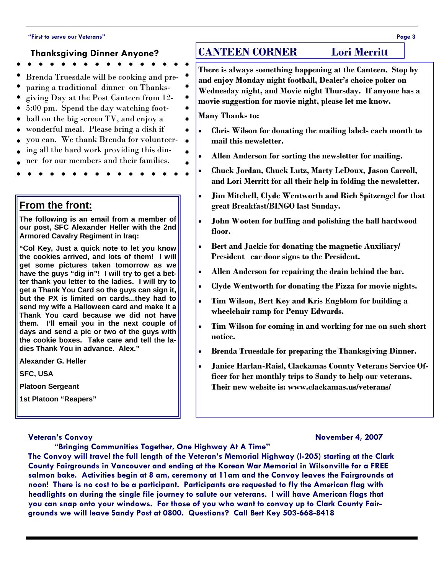#### **"First to serve our Veterans" Page 3**

#### **Thanksgiving Dinner Anyone?**

- 
- Brenda Truesdale will be cooking and pre-
- paring a traditional dinner on Thanks-
- giving Day at the Post Canteen from 12-
- 5:00 pm. Spend the day watching foot-
- ball on the big screen TV, and enjoy a
- wonderful meal. Please bring a dish if
- you can. We thank Brenda for volunteer-
- ing all the hard work providing this din-
- ner for our members and their families.
- 

## **From the front:**

**The following is an email from a member of our post, SFC Alexander Heller with the 2nd Armored Cavalry Regiment in Iraq:** 

**"Col Key, Just a quick note to let you know the cookies arrived, and lots of them! I will get some pictures taken tomorrow as we have the guys "dig in"! I will try to get a better thank you letter to the ladies. I will try to get a Thank You Card so the guys can sign it, but the PX is limited on cards...they had to send my wife a Halloween card and make it a Thank You card because we did not have them. I'll email you in the next couple of days and send a pic or two of the guys with the cookie boxes. Take care and tell the ladies Thank You in advance. Alex."** 

**Alexander G. Heller** 

**SFC, USA** 

**Platoon Sergeant** 

**1st Platoon "Reapers"** 

#### **Veteran's Convoy November 4, 2007**

# **CANTEEN CORNER Lori Merritt**

**There is always something happening at the Canteen. Stop by and enjoy Monday night football, Dealer's choice poker on Wednesday night, and Movie night Thursday. If anyone has a movie suggestion for movie night, please let me know.** 

**Many Thanks to:** 

 $\bullet$ 

 $\bullet$ 

 $\bullet$ 

- **Chris Wilson for donating the mailing labels each month to mail this newsletter.**
- **Allen Anderson for sorting the newsletter for mailing.**
- **Chuck Jordan, Chuck Lutz, Marty LeDoux, Jason Carroll, and Lori Merritt for all their help in folding the newsletter.**
- **Jim Mitchell, Clyde Wentworth and Rich Spitzengel for that great Breakfast/BINGO last Sunday.**
- **John Wooten for buffing and polishing the hall hardwood floor.**
- **Bert and Jackie for donating the magnetic Auxiliary/ President car door signs to the President.**
- **Allen Anderson for repairing the drain behind the bar.**
- **Clyde Wentworth for donating the Pizza for movie nights.**
- **Tim Wilson, Bert Key and Kris Engblom for building a wheelchair ramp for Penny Edwards.**
- **Tim Wilson for coming in and working for me on such short notice.**
- **Brenda Truesdale for preparing the Thanksgiving Dinner.**
- **Janice Harlan-Raisl, Clackamas County Veterans Service Officer for her monthly trips to Sandy to help our veterans. Their new website is: www.clackamas.us/veterans/**

# **"Bringing Communities Together, One Highway At A Time"**

**The Convoy will travel the full length of the Veteran's Memorial Highway (I-205) starting at the Clark County Fairgrounds in Vancouver and ending at the Korean War Memorial in Wilsonville for a FREE salmon bake. Activities begin at 8 am, ceremony at 11am and the Convoy leaves the Fairgrounds at noon! There is no cost to be a participant. Participants are requested to fly the American flag with headlights on during the single file journey to salute our veterans. I will have American flags that you can snap onto your windows. For those of you who want to convoy up to Clark County Fairgrounds we will leave Sandy Post at 0800. Questions? Call Bert Key 503-668-8418**